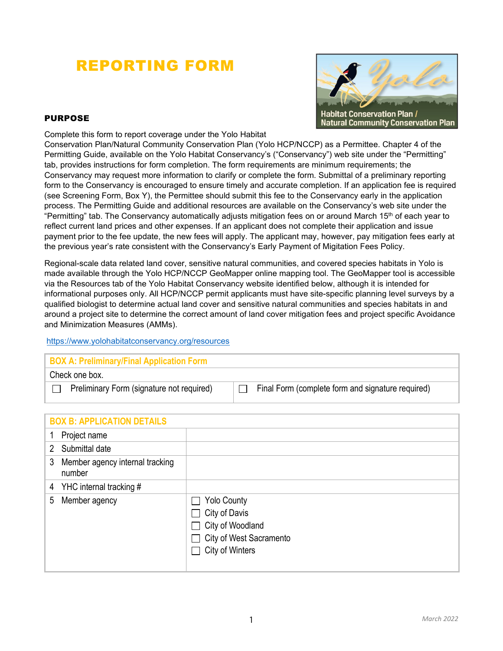# REPORTING FORM



### PURPOSE

Complete this form to report coverage under the Yolo Habitat

Conservation Plan/Natural Community Conservation Plan (Yolo HCP/NCCP) as a Permittee. Chapter 4 of the Permitting Guide, available on the Yolo Habitat Conservancy's ("Conservancy") web site under the "Permitting" tab, provides instructions for form completion. The form requirements are minimum requirements; the Conservancy may request more information to clarify or complete the form. Submittal of a preliminary reporting form to the Conservancy is encouraged to ensure timely and accurate completion. If an application fee is required (see Screening Form, Box Y), the Permittee should submit this fee to the Conservancy early in the application process. The Permitting Guide and additional resources are available on the Conservancy's web site under the "Permitting" tab. The Conservancy automatically adjusts mitigation fees on or around March 15<sup>th</sup> of each year to reflect current land prices and other expenses. If an applicant does not complete their application and issue payment prior to the fee update, the new fees will apply. The applicant may, however, pay mitigation fees early at the previous year's rate consistent with the Conservancy's Early Payment of Migitation Fees Policy.

Regional-scale data related land cover, sensitive natural communities, and covered species habitats in Yolo is made available through the Yolo HCP/NCCP GeoMapper online mapping tool. The GeoMapper tool is accessible via the Resources tab of the Yolo Habitat Conservancy website identified below, although it is intended for informational purposes only. All HCP/NCCP permit applicants must have site-specific planning level surveys by a qualified biologist to determine actual land cover and sensitive natural communities and species habitats in and around a project site to determine the correct amount of land cover mitigation fees and project specific Avoidance and Minimization Measures (AMMs).

#### https://www.yolohabitatconservancy.org/resources

#### **BOX A: Preliminary/Final Application Form**

Check one box.

 $\Box$  Preliminary Form (signature not required)  $\Box$  Final Form (complete form and signature required)

|              | <b>BOX B: APPLICATION DETAILS</b>         |                                                                                                                                                                           |  |  |
|--------------|-------------------------------------------|---------------------------------------------------------------------------------------------------------------------------------------------------------------------------|--|--|
| 1            | Project name                              |                                                                                                                                                                           |  |  |
| $\mathbf{2}$ | Submittal date                            |                                                                                                                                                                           |  |  |
| 3            | Member agency internal tracking<br>number |                                                                                                                                                                           |  |  |
|              | 4 YHC internal tracking #                 |                                                                                                                                                                           |  |  |
|              | 5 Member agency                           | <b>Yolo County</b><br>City of Davis<br>$\blacksquare$<br>City of Woodland<br>$\mathbf{I}$<br>City of West Sacramento<br>$\mathcal{L}$<br>City of Winters<br>$\mathcal{L}$ |  |  |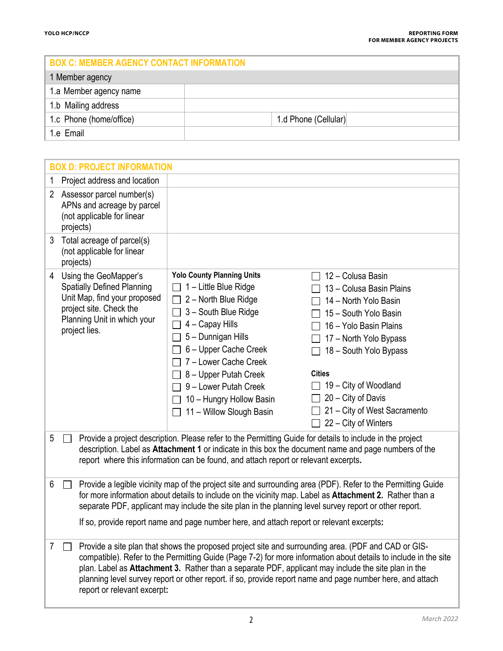| <b>BOX C: MEMBER AGENCY CONTACT INFORMATION</b> |                      |  |  |  |  |
|-------------------------------------------------|----------------------|--|--|--|--|
| 1 Member agency                                 |                      |  |  |  |  |
| 1.a Member agency name                          |                      |  |  |  |  |
| 1.b Mailing address                             |                      |  |  |  |  |
| 1.c Phone (home/office)                         | 1.d Phone (Cellular) |  |  |  |  |
| 1.e Email                                       |                      |  |  |  |  |

| <b>BOX D: PROJECT INFORMATION</b> |                                                                                                                                                                                                                                                                                                                                                                                                                                                                           |                                                                                                                                                                                                                                                                                                               |                                                                                                                                                                                                                                                                                                              |  |  |  |  |
|-----------------------------------|---------------------------------------------------------------------------------------------------------------------------------------------------------------------------------------------------------------------------------------------------------------------------------------------------------------------------------------------------------------------------------------------------------------------------------------------------------------------------|---------------------------------------------------------------------------------------------------------------------------------------------------------------------------------------------------------------------------------------------------------------------------------------------------------------|--------------------------------------------------------------------------------------------------------------------------------------------------------------------------------------------------------------------------------------------------------------------------------------------------------------|--|--|--|--|
| 1                                 | Project address and location                                                                                                                                                                                                                                                                                                                                                                                                                                              |                                                                                                                                                                                                                                                                                                               |                                                                                                                                                                                                                                                                                                              |  |  |  |  |
| $2^{\circ}$                       | Assessor parcel number(s)<br>APNs and acreage by parcel<br>(not applicable for linear<br>projects)                                                                                                                                                                                                                                                                                                                                                                        |                                                                                                                                                                                                                                                                                                               |                                                                                                                                                                                                                                                                                                              |  |  |  |  |
| 3                                 | Total acreage of parcel(s)<br>(not applicable for linear<br>projects)                                                                                                                                                                                                                                                                                                                                                                                                     |                                                                                                                                                                                                                                                                                                               |                                                                                                                                                                                                                                                                                                              |  |  |  |  |
| 4                                 | Using the GeoMapper's<br><b>Spatially Defined Planning</b><br>Unit Map, find your proposed<br>project site. Check the<br>Planning Unit in which your<br>project lies.                                                                                                                                                                                                                                                                                                     | <b>Yolo County Planning Units</b><br>1-Little Blue Ridge<br>2 - North Blue Ridge<br>3 - South Blue Ridge<br>4 - Capay Hills<br>5 - Dunnigan Hills<br>6 - Upper Cache Creek<br>7 - Lower Cache Creek<br>8 - Upper Putah Creek<br>9 - Lower Putah Creek<br>10 - Hungry Hollow Basin<br>11 - Willow Slough Basin | 12 - Colusa Basin<br>13 - Colusa Basin Plains<br>14 - North Yolo Basin<br>15 - South Yolo Basin<br>16 - Yolo Basin Plains<br>17 - North Yolo Bypass<br>18 - South Yolo Bypass<br><b>Cities</b><br>$\Box$ 19 – City of Woodland<br>20 - City of Davis<br>21 - City of West Sacramento<br>22 - City of Winters |  |  |  |  |
| 5                                 | Provide a project description. Please refer to the Permitting Guide for details to include in the project<br>description. Label as Attachment 1 or indicate in this box the document name and page numbers of the<br>report where this information can be found, and attach report or relevant excerpts.                                                                                                                                                                  |                                                                                                                                                                                                                                                                                                               |                                                                                                                                                                                                                                                                                                              |  |  |  |  |
| 6                                 |                                                                                                                                                                                                                                                                                                                                                                                                                                                                           | for more information about details to include on the vicinity map. Label as Attachment 2. Rather than a<br>separate PDF, applicant may include the site plan in the planning level survey report or other report.<br>If so, provide report name and page number here, and attach report or relevant excerpts: | Provide a legible vicinity map of the project site and surrounding area (PDF). Refer to the Permitting Guide                                                                                                                                                                                                 |  |  |  |  |
|                                   | Provide a site plan that shows the proposed project site and surrounding area. (PDF and CAD or GIS-<br>compatible). Refer to the Permitting Guide (Page 7-2) for more information about details to include in the site<br>plan. Label as Attachment 3. Rather than a separate PDF, applicant may include the site plan in the<br>planning level survey report or other report. if so, provide report name and page number here, and attach<br>report or relevant excerpt: |                                                                                                                                                                                                                                                                                                               |                                                                                                                                                                                                                                                                                                              |  |  |  |  |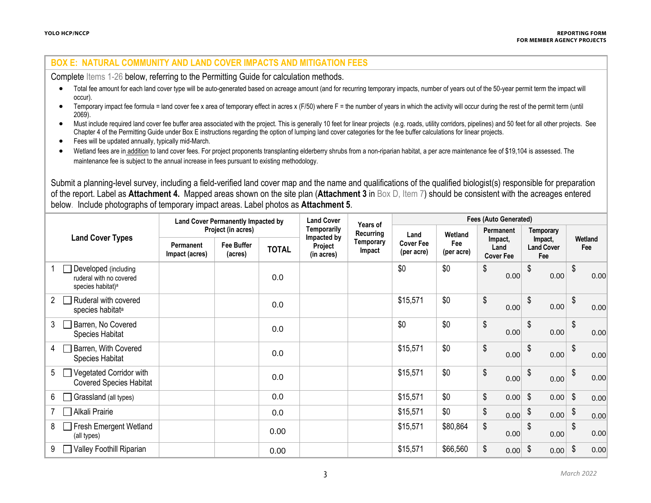### **BOX E: NATURAL COMMUNITY AND LAND COVER IMPACTS AND MITIGATION FEES**

Complete Items 1-26 below, referring to the Permitting Guide for calculation methods.

- Total fee amount for each land cover type will be auto-generated based on acreage amount (and for recurring temporary impacts, number of years out of the 50-year permit term the impact will occur).
- Temporary impact fee formula = land cover fee x area of temporary effect in acres x (F/50) where F = the number of years in which the activity will occur during the rest of the permit term (until 2069).
- Must include required land cover fee buffer area associated with the project. This is generally 10 feet for linear projects (e.g. roads, utility corridors, pipelines) and 50 feet for all other projects. See Chapter 4 of the Permitting Guide under Box E instructions regarding the option of lumping land cover categories for the fee buffer calculations for linear projects.
- Fees will be updated annually, typically mid-March.
- Wetland fees are in addition to land cover fees. For project proponents transplanting elderberry shrubs from a non-riparian habitat, a per acre maintenance fee of \$19,104 is assessed. The maintenance fee is subject to the annual increase in fees pursuant to existing methodology.

Submit a planning-level survey, including a field-verified land cover map and the name and qualifications of the qualified biologist(s) responsible for preparation of the report. Label as **Attachment 4.** Mapped areas shown on the site plan (**Attachment 3** in Box D, Item 7) should be consistent with the acreages entered below. Include photographs of temporary impact areas. Label photos as **Attachment 5**.

| <b>Land Cover Types</b>                                                          |  | <b>Land Cover Permanently Impacted by</b> |                       |              | <b>Land Cover</b>                    | Years of                   | <b>Fees (Auto Generated)</b>   |                   |                                     |                                     |      |            |                |
|----------------------------------------------------------------------------------|--|-------------------------------------------|-----------------------|--------------|--------------------------------------|----------------------------|--------------------------------|-------------------|-------------------------------------|-------------------------------------|------|------------|----------------|
|                                                                                  |  | Project (in acres)                        |                       | Temporarily  | Recurring                            | Land                       | Wetland                        | Permanent         |                                     | Temporary                           |      |            |                |
|                                                                                  |  | Permanent<br>Impact (acres)               | Fee Buffer<br>(acres) | <b>TOTAL</b> | Impacted by<br>Project<br>(in acres) | <b>Temporary</b><br>Impact | <b>Cover Fee</b><br>(per acre) | Fee<br>(per acre) | Impact,<br>Land<br><b>Cover Fee</b> | Impact,<br><b>Land Cover</b><br>Fee |      |            | Wetland<br>Fee |
| Developed (including<br>ruderal with no covered<br>species habitat) <sup>a</sup> |  |                                           |                       | 0.0          |                                      |                            | \$0                            | \$0               | \$<br>0.00                          | \$                                  | 0.00 | \$         | 0.00           |
| Ruderal with covered<br>2<br>species habitat <sup>a</sup>                        |  |                                           |                       | 0.0          |                                      |                            | \$15,571                       | \$0               | \$<br>0.00                          | \$                                  | 0.00 | \$         | 0.00           |
| 3<br>Barren, No Covered<br>Species Habitat                                       |  |                                           |                       | 0.0          |                                      |                            | \$0                            | \$0               | \$<br>0.00                          | \$                                  | 0.00 | \$         | 0.00           |
| Barren, With Covered<br>4<br>Species Habitat                                     |  |                                           |                       | 0.0          |                                      |                            | \$15,571                       | \$0               | \$<br>0.00                          | \$                                  | 0.00 | \$         | 0.00           |
| Vegetated Corridor with<br>5<br><b>Covered Species Habitat</b>                   |  |                                           |                       | 0.0          |                                      |                            | \$15,571                       | \$0               | \$<br>0.00                          | \$                                  | 0.00 | \$         | 0.00           |
| Grassland (all types)<br>6.                                                      |  |                                           |                       | 0.0          |                                      |                            | \$15,571                       | \$0               | \$<br>0.00                          | $\sqrt[6]{\frac{1}{2}}$             | 0.00 | $\sqrt{3}$ | 0.00           |
| Alkali Prairie                                                                   |  |                                           |                       | 0.0          |                                      |                            | \$15,571                       | \$0               | \$<br>0.00                          | \$                                  | 0.00 | \$         | 0.00           |
| <b>Fresh Emergent Wetland</b><br>8<br>(all types)                                |  |                                           |                       | 0.00         |                                      |                            | \$15,571                       | \$80,864          | \$<br>0.00                          | \$                                  | 0.00 | \$         | 0.00           |
| Valley Foothill Riparian<br>9                                                    |  |                                           |                       | 0.00         |                                      |                            | \$15,571                       | \$66,560          | \$<br>0.00                          | \$                                  | 0.00 | \$         | 0.00           |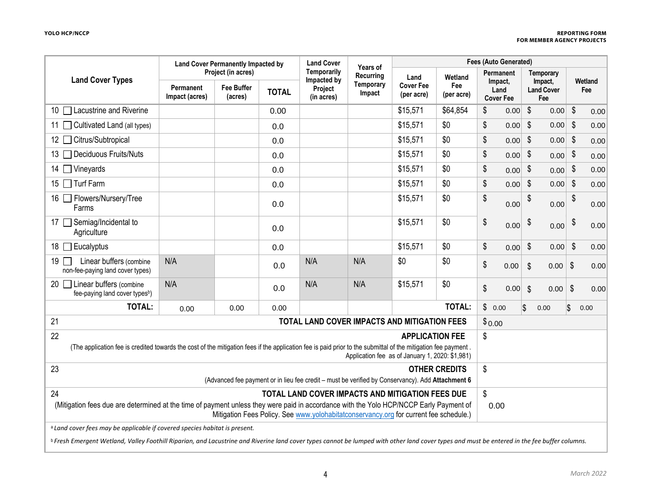|                                                                                                                                                                                                         | <b>Land Cover Permanently Impacted by</b>                                                                                                                                                                                               |                                                    | <b>Land Cover</b><br>Years of | <b>Fees (Auto Generated)</b>                        |                                  |                                                 |                              |                                                         |      |                           |                                                  |                            |                |
|---------------------------------------------------------------------------------------------------------------------------------------------------------------------------------------------------------|-----------------------------------------------------------------------------------------------------------------------------------------------------------------------------------------------------------------------------------------|----------------------------------------------------|-------------------------------|-----------------------------------------------------|----------------------------------|-------------------------------------------------|------------------------------|---------------------------------------------------------|------|---------------------------|--------------------------------------------------|----------------------------|----------------|
| <b>Land Cover Types</b>                                                                                                                                                                                 | Permanent<br>Impact (acres)                                                                                                                                                                                                             | Project (in acres)<br><b>Fee Buffer</b><br>(acres) | <b>TOTAL</b>                  | Temporarily<br>Impacted by<br>Project<br>(in acres) | Recurring<br>Temporary<br>Impact | Land<br><b>Cover Fee</b><br>(per acre)          | Wetland<br>Fee<br>(per acre) | <b>Permanent</b><br>Impact,<br>Land<br><b>Cover Fee</b> |      |                           | Temporary<br>Impact,<br><b>Land Cover</b><br>Fee |                            | Wetland<br>Fee |
| 10 □ Lacustrine and Riverine                                                                                                                                                                            |                                                                                                                                                                                                                                         |                                                    | 0.00                          |                                                     |                                  | \$15,571                                        | \$64,854                     | \$                                                      | 0.00 | $\boldsymbol{\mathsf{S}}$ | 0.00                                             | $\sqrt[6]{\frac{1}{2}}$    | 0.00           |
| 11 Cultivated Land (all types)                                                                                                                                                                          |                                                                                                                                                                                                                                         |                                                    | 0.0                           |                                                     |                                  | \$15,571                                        | \$0                          | \$                                                      | 0.00 | \$                        | 0.00                                             | \$                         | 0.00           |
| Citrus/Subtropical<br>12 I                                                                                                                                                                              |                                                                                                                                                                                                                                         |                                                    | 0.0                           |                                                     |                                  | \$15,571                                        | \$0                          | \$                                                      | 0.00 | $\frac{1}{2}$             | 0.00                                             | \$                         | 0.00           |
| Deciduous Fruits/Nuts<br>13 $\vert$                                                                                                                                                                     |                                                                                                                                                                                                                                         |                                                    | 0.0                           |                                                     |                                  | \$15,571                                        | \$0                          | \$                                                      | 0.00 | \$                        | 0.00                                             | \$                         | 0.00           |
| $\Box$ Vineyards<br>14 T                                                                                                                                                                                |                                                                                                                                                                                                                                         |                                                    | 0.0                           |                                                     |                                  | \$15,571                                        | \$0                          | \$                                                      | 0.00 | $\frac{1}{2}$             | 0.00                                             | $\boldsymbol{\mathsf{\$}}$ | 0.00           |
| 15 □ Turf Farm                                                                                                                                                                                          |                                                                                                                                                                                                                                         |                                                    | 0.0                           |                                                     |                                  | \$15,571                                        | \$0                          | \$                                                      | 0.00 | $\sqrt[6]{\frac{1}{2}}$   | 0.00                                             | \$                         | 0.00           |
| 16 <b>□ Flowers/Nursery/Tree</b><br>Farms                                                                                                                                                               |                                                                                                                                                                                                                                         |                                                    | 0.0                           |                                                     |                                  | \$15,571                                        | \$0                          | \$                                                      | 0.00 |                           | 0.00                                             | \$                         | 0.00           |
| 17 Semiag/Incidental to<br>Agriculture                                                                                                                                                                  |                                                                                                                                                                                                                                         |                                                    | 0.0                           |                                                     |                                  | \$15,571                                        | \$0                          | \$                                                      | 0.00 | \$                        | 0.00                                             | \$                         | 0.00           |
| $\Box$ Eucalyptus<br>18 I                                                                                                                                                                               |                                                                                                                                                                                                                                         |                                                    | 0.0                           |                                                     |                                  | \$15,571                                        | \$0                          | \$                                                      | 0.00 | \$                        | 0.00                                             | $\sqrt[6]{\frac{1}{2}}$    | 0.00           |
| Linear buffers (combine<br>19<br>non-fee-paying land cover types)                                                                                                                                       | N/A                                                                                                                                                                                                                                     |                                                    | 0.0                           | N/A                                                 | N/A                              | \$0                                             | \$0                          | \$                                                      | 0.00 | $\boldsymbol{\mathsf{S}}$ | 0.00                                             | $\sqrt[6]{\frac{1}{2}}$    | 0.00           |
| 20 □ Linear buffers (combine<br>fee-paying land cover types <sup>b</sup> )                                                                                                                              | N/A                                                                                                                                                                                                                                     |                                                    | 0.0                           | N/A                                                 | N/A                              | \$15,571                                        | \$0                          | \$                                                      | 0.00 | $\boldsymbol{\mathsf{S}}$ | 0.00                                             | \$                         | 0.00           |
| <b>TOTAL:</b>                                                                                                                                                                                           | 0.00                                                                                                                                                                                                                                    | 0.00                                               | 0.00                          |                                                     |                                  |                                                 | <b>TOTAL:</b>                | \$                                                      | 0.00 | $\overline{\mathbb{S}}$   | 0.00                                             | \$                         | 0.00           |
| 21                                                                                                                                                                                                      |                                                                                                                                                                                                                                         |                                                    |                               | TOTAL LAND COVER IMPACTS AND MITIGATION FEES        |                                  |                                                 |                              | \$0.00                                                  |      |                           |                                                  |                            |                |
| 22                                                                                                                                                                                                      |                                                                                                                                                                                                                                         |                                                    |                               |                                                     |                                  | <b>APPLICATION FEE</b>                          |                              | \$                                                      |      |                           |                                                  |                            |                |
| (The application fee is credited towards the cost of the mitigation fees if the application fee is paid prior to the submittal of the mitigation fee payment.                                           |                                                                                                                                                                                                                                         |                                                    |                               |                                                     |                                  | Application fee as of January 1, 2020: \$1,981) |                              |                                                         |      |                           |                                                  |                            |                |
| 23                                                                                                                                                                                                      |                                                                                                                                                                                                                                         |                                                    |                               |                                                     |                                  |                                                 | <b>OTHER CREDITS</b>         | \$                                                      |      |                           |                                                  |                            |                |
|                                                                                                                                                                                                         | (Advanced fee payment or in lieu fee credit - must be verified by Conservancy). Add Attachment 6                                                                                                                                        |                                                    |                               |                                                     |                                  |                                                 |                              |                                                         |      |                           |                                                  |                            |                |
| 24                                                                                                                                                                                                      |                                                                                                                                                                                                                                         |                                                    |                               | TOTAL LAND COVER IMPACTS AND MITIGATION FEES DUE    |                                  |                                                 |                              | \$                                                      |      |                           |                                                  |                            |                |
|                                                                                                                                                                                                         | (Mitigation fees due are determined at the time of payment unless they were paid in accordance with the Yolo HCP/NCCP Early Payment of<br>0.00<br>Mitigation Fees Policy. See www.yolohabitatconservancy.org for current fee schedule.) |                                                    |                               |                                                     |                                  |                                                 |                              |                                                         |      |                           |                                                  |                            |                |
| <sup>a</sup> Land cover fees may be applicable if covered species habitat is present.                                                                                                                   |                                                                                                                                                                                                                                         |                                                    |                               |                                                     |                                  |                                                 |                              |                                                         |      |                           |                                                  |                            |                |
| <sup>b</sup> Fresh Emergent Wetland, Valley Foothill Riparian, and Lacustrine and Riverine land cover types cannot be lumped with other land cover types and must be entered in the fee buffer columns. |                                                                                                                                                                                                                                         |                                                    |                               |                                                     |                                  |                                                 |                              |                                                         |      |                           |                                                  |                            |                |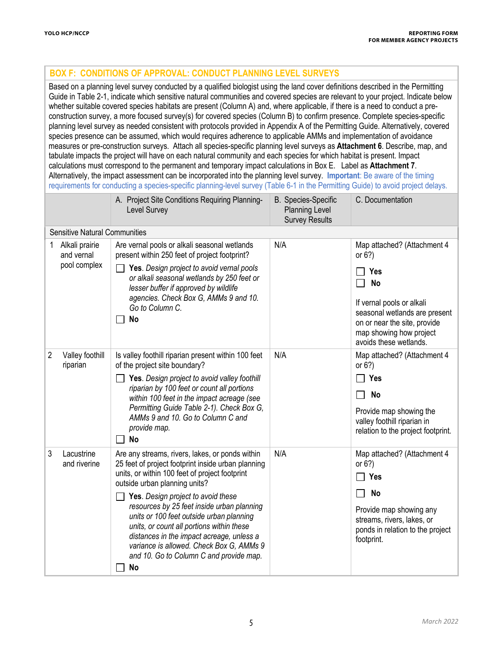# **BOX F: CONDITIONS OF APPROVAL: CONDUCT PLANNING LEVEL SURVEYS**

Based on a planning level survey conducted by a qualified biologist using the land cover definitions described in the Permitting Guide in Table 2-1, indicate which sensitive natural communities and covered species are relevant to your project. Indicate below whether suitable covered species habitats are present (Column A) and, where applicable, if there is a need to conduct a preconstruction survey, a more focused survey(s) for covered species (Column B) to confirm presence. Complete species-specific planning level survey as needed consistent with protocols provided in Appendix A of the Permitting Guide. Alternatively, covered species presence can be assumed, which would requires adherence to applicable AMMs and implementation of avoidance measures or pre-construction surveys. Attach all species-specific planning level surveys as **Attachment 6**. Describe, map, and tabulate impacts the project will have on each natural community and each species for which habitat is present. Impact calculations must correspond to the permanent and temporary impact calculations in Box E. Label as **Attachment 7**. Alternatively, the impact assessment can be incorporated into the planning level survey. **Important**: Be aware of the timing requirements for conducting a species-specific planning-level survey (Table 6-1 in the Permitting Guide) to avoid project delays.

|   |                                              | A. Project Site Conditions Requiring Planning-<br>Level Survey                                                                                                                                                                                                                                                                                                                                                                                                                                                         | <b>B.</b> Species-Specific<br><b>Planning Level</b><br><b>Survey Results</b> | C. Documentation                                                                                                                                                                                                |
|---|----------------------------------------------|------------------------------------------------------------------------------------------------------------------------------------------------------------------------------------------------------------------------------------------------------------------------------------------------------------------------------------------------------------------------------------------------------------------------------------------------------------------------------------------------------------------------|------------------------------------------------------------------------------|-----------------------------------------------------------------------------------------------------------------------------------------------------------------------------------------------------------------|
|   | <b>Sensitive Natural Communities</b>         |                                                                                                                                                                                                                                                                                                                                                                                                                                                                                                                        |                                                                              |                                                                                                                                                                                                                 |
| 1 | Alkali prairie<br>and vernal<br>pool complex | Are vernal pools or alkali seasonal wetlands<br>present within 250 feet of project footprint?<br>Yes. Design project to avoid vernal pools<br>or alkali seasonal wetlands by 250 feet or<br>lesser buffer if approved by wildlife<br>agencies. Check Box G, AMMs 9 and 10.<br>Go to Column C.<br><b>No</b>                                                                                                                                                                                                             | N/A                                                                          | Map attached? (Attachment 4<br>or $6?$ )<br>Yes<br><b>No</b><br>If vernal pools or alkali<br>seasonal wetlands are present<br>on or near the site, provide<br>map showing how project<br>avoids these wetlands. |
| 2 | Valley foothill<br>riparian                  | Is valley foothill riparian present within 100 feet<br>of the project site boundary?<br>Yes. Design project to avoid valley foothill<br>riparian by 100 feet or count all portions<br>within 100 feet in the impact acreage (see<br>Permitting Guide Table 2-1). Check Box G,<br>AMMs 9 and 10. Go to Column C and<br>provide map.<br><b>No</b>                                                                                                                                                                        | N/A                                                                          | Map attached? (Attachment 4<br>or $6?$ )<br>Yes<br><b>No</b><br>Provide map showing the<br>valley foothill riparian in<br>relation to the project footprint.                                                    |
| 3 | Lacustrine<br>and riverine                   | Are any streams, rivers, lakes, or ponds within<br>25 feet of project footprint inside urban planning<br>units, or within 100 feet of project footprint<br>outside urban planning units?<br>Yes. Design project to avoid these<br>resources by 25 feet inside urban planning<br>units or 100 feet outside urban planning<br>units, or count all portions within these<br>distances in the impact acreage, unless a<br>variance is allowed. Check Box G, AMMs 9<br>and 10. Go to Column C and provide map.<br><b>No</b> | N/A                                                                          | Map attached? (Attachment 4<br>or $6?$ )<br>Yes<br><b>No</b><br>Provide map showing any<br>streams, rivers, lakes, or<br>ponds in relation to the project<br>footprint.                                         |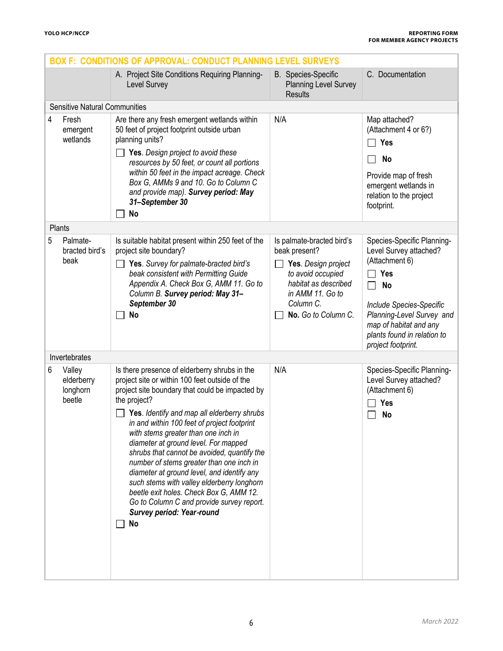|   |                                            | <b>BOX F: CONDITIONS OF APPROVAL: CONDUCT PLANNING</b>                                                                                                                                                                                                                                                                                                                                                                                                                                                                                                                                                                                                                   | <b>LEVEL SURVEYS</b>                                                                                                                                                   |                                                                                                                                                                                                                                              |
|---|--------------------------------------------|--------------------------------------------------------------------------------------------------------------------------------------------------------------------------------------------------------------------------------------------------------------------------------------------------------------------------------------------------------------------------------------------------------------------------------------------------------------------------------------------------------------------------------------------------------------------------------------------------------------------------------------------------------------------------|------------------------------------------------------------------------------------------------------------------------------------------------------------------------|----------------------------------------------------------------------------------------------------------------------------------------------------------------------------------------------------------------------------------------------|
|   |                                            | A. Project Site Conditions Requiring Planning-<br>Level Survey                                                                                                                                                                                                                                                                                                                                                                                                                                                                                                                                                                                                           | <b>B.</b> Species-Specific<br><b>Planning Level Survey</b><br><b>Results</b>                                                                                           | C. Documentation                                                                                                                                                                                                                             |
|   | <b>Sensitive Natural Communities</b>       |                                                                                                                                                                                                                                                                                                                                                                                                                                                                                                                                                                                                                                                                          |                                                                                                                                                                        |                                                                                                                                                                                                                                              |
| 4 | Fresh<br>emergent<br>wetlands              | Are there any fresh emergent wetlands within<br>50 feet of project footprint outside urban<br>planning units?<br>Yes. Design project to avoid these<br>resources by 50 feet, or count all portions<br>within 50 feet in the impact acreage. Check<br>Box G, AMMs 9 and 10. Go to Column C<br>and provide map). Survey period: May<br>31-September 30<br>No                                                                                                                                                                                                                                                                                                               | N/A                                                                                                                                                                    | Map attached?<br>(Attachment 4 or 6?)<br><b>Yes</b><br>No<br>Provide map of fresh<br>emergent wetlands in<br>relation to the project<br>footprint.                                                                                           |
|   | Plants                                     |                                                                                                                                                                                                                                                                                                                                                                                                                                                                                                                                                                                                                                                                          |                                                                                                                                                                        |                                                                                                                                                                                                                                              |
| 5 | Palmate-<br>bracted bird's<br>beak         | Is suitable habitat present within 250 feet of the<br>project site boundary?<br>Yes. Survey for palmate-bracted bird's<br>beak consistent with Permitting Guide<br>Appendix A. Check Box G, AMM 11. Go to<br>Column B. Survey period: May 31-<br>September 30<br>No                                                                                                                                                                                                                                                                                                                                                                                                      | Is palmate-bracted bird's<br>beak present?<br>Yes. Design project<br>to avoid occupied<br>habitat as described<br>in AMM 11. Go to<br>Column C.<br>No. Go to Column C. | Species-Specific Planning-<br>Level Survey attached?<br>(Attachment 6)<br>Yes<br><b>No</b><br>$\Box$<br>Include Species-Specific<br>Planning-Level Survey and<br>map of habitat and any<br>plants found in relation to<br>project footprint. |
|   | Invertebrates                              |                                                                                                                                                                                                                                                                                                                                                                                                                                                                                                                                                                                                                                                                          |                                                                                                                                                                        |                                                                                                                                                                                                                                              |
| 6 | Valley<br>elderberry<br>longhorn<br>beetle | Is there presence of elderberry shrubs in the<br>project site or within 100 feet outside of the<br>project site boundary that could be impacted by<br>the project?<br>Yes. Identify and map all elderberry shrubs<br>in and within 100 feet of project footprint<br>with stems greater than one inch in<br>diameter at ground level. For mapped<br>shrubs that cannot be avoided, quantify the<br>number of stems greater than one inch in<br>diameter at ground level, and identify any<br>such stems with valley elderberry longhorn<br>beetle exit holes. Check Box G, AMM 12.<br>Go to Column C and provide survey report.<br>Survey period: Year-round<br><b>No</b> | N/A                                                                                                                                                                    | Species-Specific Planning-<br>Level Survey attached?<br>(Attachment 6)<br><b>Yes</b><br><b>No</b>                                                                                                                                            |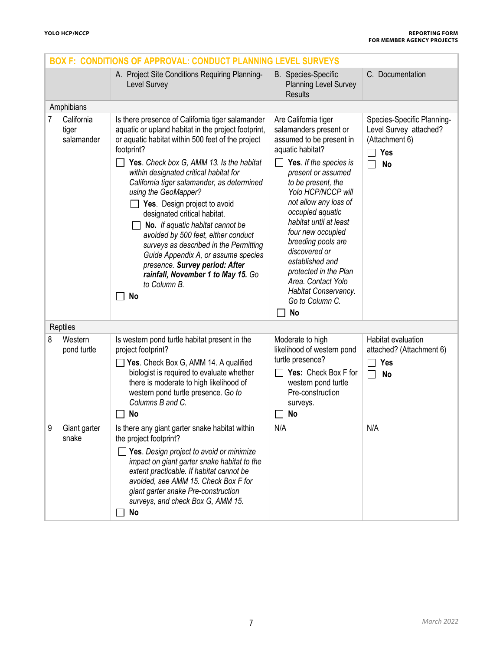| <b>BOX F: CONDITIONS OF APPROVAL: CONDUCT PLANNING LEVEL SURVEYS</b> |                                   |                                                                                                                                                                                                                                                                                                                                                                                                                                                                                                                                                                                                                                                                         |                                                                                                                                                                                                                                                                                                                                                                                                                                                         |                                                                                            |  |  |
|----------------------------------------------------------------------|-----------------------------------|-------------------------------------------------------------------------------------------------------------------------------------------------------------------------------------------------------------------------------------------------------------------------------------------------------------------------------------------------------------------------------------------------------------------------------------------------------------------------------------------------------------------------------------------------------------------------------------------------------------------------------------------------------------------------|---------------------------------------------------------------------------------------------------------------------------------------------------------------------------------------------------------------------------------------------------------------------------------------------------------------------------------------------------------------------------------------------------------------------------------------------------------|--------------------------------------------------------------------------------------------|--|--|
|                                                                      |                                   | A. Project Site Conditions Requiring Planning-<br>Level Survey                                                                                                                                                                                                                                                                                                                                                                                                                                                                                                                                                                                                          | <b>B.</b> Species-Specific<br><b>Planning Level Survey</b><br><b>Results</b>                                                                                                                                                                                                                                                                                                                                                                            | C. Documentation                                                                           |  |  |
|                                                                      | Amphibians                        |                                                                                                                                                                                                                                                                                                                                                                                                                                                                                                                                                                                                                                                                         |                                                                                                                                                                                                                                                                                                                                                                                                                                                         |                                                                                            |  |  |
| 7                                                                    | California<br>tiger<br>salamander | Is there presence of California tiger salamander<br>aquatic or upland habitat in the project footprint,<br>or aquatic habitat within 500 feet of the project<br>footprint?<br>Yes. Check box G, AMM 13. Is the habitat<br>within designated critical habitat for<br>California tiger salamander, as determined<br>using the GeoMapper?<br>Yes. Design project to avoid<br>designated critical habitat.<br>No. If aquatic habitat cannot be<br>avoided by 500 feet, either conduct<br>surveys as described in the Permitting<br>Guide Appendix A, or assume species<br>presence. Survey period: After<br>rainfall, November 1 to May 15. Go<br>to Column B.<br><b>No</b> | Are California tiger<br>salamanders present or<br>assumed to be present in<br>aquatic habitat?<br>Yes. If the species is<br>present or assumed<br>to be present, the<br>Yolo HCP/NCCP will<br>not allow any loss of<br>occupied aquatic<br>habitat until at least<br>four new occupied<br>breeding pools are<br>discovered or<br>established and<br>protected in the Plan<br>Area. Contact Yolo<br>Habitat Conservancy.<br>Go to Column C.<br><b>No</b> | Species-Specific Planning-<br>Level Survey attached?<br>(Attachment 6)<br>Yes<br><b>No</b> |  |  |
|                                                                      | Reptiles                          |                                                                                                                                                                                                                                                                                                                                                                                                                                                                                                                                                                                                                                                                         |                                                                                                                                                                                                                                                                                                                                                                                                                                                         |                                                                                            |  |  |
| 8                                                                    | Western<br>pond turtle            | Is western pond turtle habitat present in the<br>project footprint?<br>Yes. Check Box G, AMM 14. A qualified<br>biologist is required to evaluate whether<br>there is moderate to high likelihood of<br>western pond turtle presence. Go to<br>Columns B and C.<br>No                                                                                                                                                                                                                                                                                                                                                                                                   | Moderate to high<br>likelihood of western pond<br>turtle presence?<br>Yes: Check Box F for<br>western pond turtle<br>Pre-construction<br>surveys.<br><b>No</b>                                                                                                                                                                                                                                                                                          | Habitat evaluation<br>attached? (Attachment 6)<br><b>Yes</b><br><b>No</b>                  |  |  |
| 9                                                                    | Giant garter<br>snake             | Is there any giant garter snake habitat within<br>the project footprint?<br>$\Box$ Yes. Design project to avoid or minimize<br>impact on giant garter snake habitat to the<br>extent practicable. If habitat cannot be<br>avoided, see AMM 15. Check Box F for<br>giant garter snake Pre-construction<br>surveys, and check Box G, AMM 15.<br><b>No</b>                                                                                                                                                                                                                                                                                                                 | N/A                                                                                                                                                                                                                                                                                                                                                                                                                                                     | N/A                                                                                        |  |  |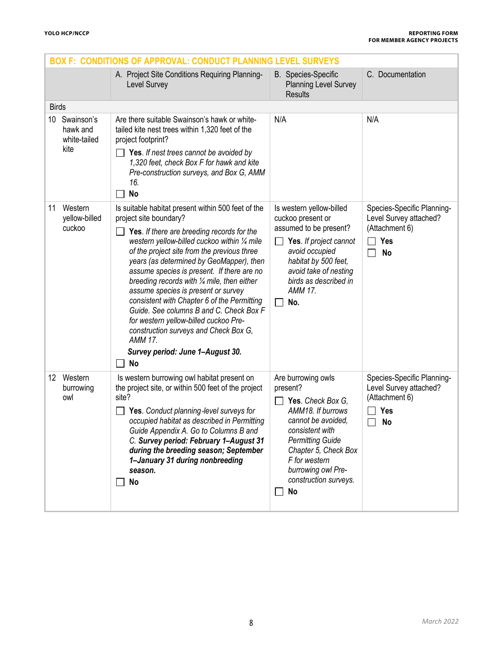| <b>BOX F: CONDITIONS OF APPROVAL: CONDUCT PLANNING LEVEL SURVEYS</b> |                                                                                                                                                                                                                                                                                                                                                                                                                                                                                                                                                                                                                                                                       |                                                                                                                                                                                                                                                   |                                                                                                      |  |  |  |
|----------------------------------------------------------------------|-----------------------------------------------------------------------------------------------------------------------------------------------------------------------------------------------------------------------------------------------------------------------------------------------------------------------------------------------------------------------------------------------------------------------------------------------------------------------------------------------------------------------------------------------------------------------------------------------------------------------------------------------------------------------|---------------------------------------------------------------------------------------------------------------------------------------------------------------------------------------------------------------------------------------------------|------------------------------------------------------------------------------------------------------|--|--|--|
|                                                                      | A. Project Site Conditions Requiring Planning-<br>Level Survey                                                                                                                                                                                                                                                                                                                                                                                                                                                                                                                                                                                                        | <b>B.</b> Species-Specific<br><b>Planning Level Survey</b><br><b>Results</b>                                                                                                                                                                      | C. Documentation                                                                                     |  |  |  |
| <b>Birds</b>                                                         |                                                                                                                                                                                                                                                                                                                                                                                                                                                                                                                                                                                                                                                                       |                                                                                                                                                                                                                                                   |                                                                                                      |  |  |  |
| Swainson's<br>10<br>hawk and<br>white-tailed<br>kite                 | Are there suitable Swainson's hawk or white-<br>tailed kite nest trees within 1,320 feet of the<br>project footprint?<br>Yes. If nest trees cannot be avoided by<br>1,320 feet, check Box F for hawk and kite<br>Pre-construction surveys, and Box G, AMM                                                                                                                                                                                                                                                                                                                                                                                                             | N/A                                                                                                                                                                                                                                               | N/A                                                                                                  |  |  |  |
|                                                                      | 16.                                                                                                                                                                                                                                                                                                                                                                                                                                                                                                                                                                                                                                                                   |                                                                                                                                                                                                                                                   |                                                                                                      |  |  |  |
| Western<br>11<br>yellow-billed<br>cuckoo                             | <b>No</b><br>Is suitable habitat present within 500 feet of the<br>project site boundary?<br>Yes. If there are breeding records for the<br>western yellow-billed cuckoo within 1/4 mile<br>of the project site from the previous three<br>years (as determined by GeoMapper), then<br>assume species is present. If there are no<br>breeding records with 1/4 mile, then either<br>assume species is present or survey<br>consistent with Chapter 6 of the Permitting<br>Guide. See columns B and C. Check Box F<br>for western yellow-billed cuckoo Pre-<br>construction surveys and Check Box G,<br><b>AMM 17.</b><br>Survey period: June 1-August 30.<br><b>No</b> | Is western yellow-billed<br>cuckoo present or<br>assumed to be present?<br>Yes. If project cannot<br>avoid occupied<br>habitat by 500 feet,<br>avoid take of nesting<br>birds as described in<br><b>AMM 17.</b><br>No.                            | Species-Specific Planning-<br>Level Survey attached?<br>(Attachment 6)<br>Yes<br>$\Box$<br><b>No</b> |  |  |  |
| 12 Western<br>burrowing<br>owl                                       | Is western burrowing owl habitat present on<br>the project site, or within 500 feet of the project<br>site?<br>Yes. Conduct planning-level surveys for<br>occupied habitat as described in Permitting<br>Guide Appendix A. Go to Columns B and<br>C. Survey period: February 1-August 31<br>during the breeding season; September<br>1-January 31 during nonbreeding<br>season.<br>No                                                                                                                                                                                                                                                                                 | Are burrowing owls<br>present?<br>Yes. Check Box G,<br>AMM18. If burrows<br>cannot be avoided,<br>consistent with<br><b>Permitting Guide</b><br>Chapter 5, Check Box<br>F for western<br>burrowing owl Pre-<br>construction surveys.<br><b>No</b> | Species-Specific Planning-<br>Level Survey attached?<br>(Attachment 6)<br><b>Yes</b><br>No           |  |  |  |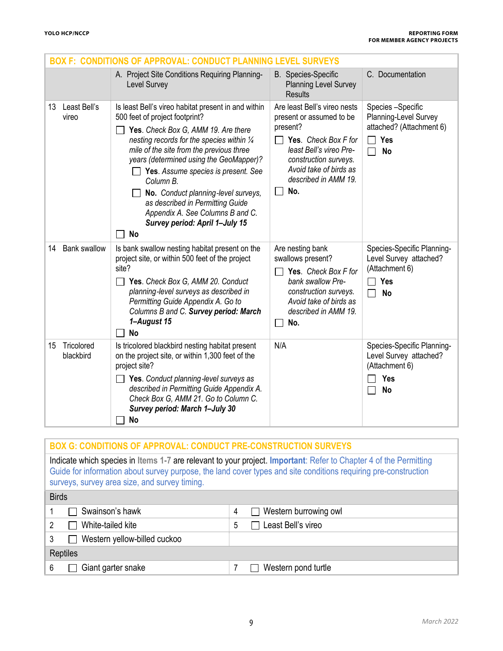|                               | <b>BOX F: CONDITIONS OF APPROVAL: CONDUCT PLANNING LEVEL SURVEYS</b>                                                                                                                                                                                                                                                                                                                                                                                                                |                                                                                                                                                                                                           |                                                                                                              |
|-------------------------------|-------------------------------------------------------------------------------------------------------------------------------------------------------------------------------------------------------------------------------------------------------------------------------------------------------------------------------------------------------------------------------------------------------------------------------------------------------------------------------------|-----------------------------------------------------------------------------------------------------------------------------------------------------------------------------------------------------------|--------------------------------------------------------------------------------------------------------------|
|                               | A. Project Site Conditions Requiring Planning-<br>Level Survey                                                                                                                                                                                                                                                                                                                                                                                                                      | <b>B.</b> Species-Specific<br><b>Planning Level Survey</b><br><b>Results</b>                                                                                                                              | C. Documentation                                                                                             |
| Least Bell's<br>13<br>vireo   | Is least Bell's vireo habitat present in and within<br>500 feet of project footprint?<br>Yes. Check Box G, AMM 19. Are there<br>nesting records for the species within 1/4<br>mile of the site from the previous three<br>years (determined using the GeoMapper)?<br>Yes. Assume species is present. See<br>Column B.<br>No. Conduct planning-level surveys,<br>as described in Permitting Guide<br>Appendix A. See Columns B and C.<br>Survey period: April 1-July 15<br><b>No</b> | Are least Bell's vireo nests<br>present or assumed to be<br>present?<br>Yes. Check Box F for<br>least Bell's vireo Pre-<br>construction surveys.<br>Avoid take of birds as<br>described in AMM 19.<br>No. | Species -Specific<br>Planning-Level Survey<br>attached? (Attachment 6)<br><b>Yes</b><br><b>No</b>            |
| <b>Bank swallow</b><br>14     | Is bank swallow nesting habitat present on the<br>project site, or within 500 feet of the project<br>site?<br>Yes. Check Box G, AMM 20. Conduct<br>П<br>planning-level surveys as described in<br>Permitting Guide Appendix A. Go to<br>Columns B and C. Survey period: March<br>1-August 15<br><b>No</b>                                                                                                                                                                           | Are nesting bank<br>swallows present?<br>Yes. Check Box F for<br>bank swallow Pre-<br>construction surveys.<br>Avoid take of birds as<br>described in AMM 19.<br>No.                                      | Species-Specific Planning-<br>Level Survey attached?<br>(Attachment 6)<br><b>Yes</b><br>$\perp$<br><b>No</b> |
| Tricolored<br>15<br>blackbird | Is tricolored blackbird nesting habitat present<br>on the project site, or within 1,300 feet of the<br>project site?<br>Yes. Conduct planning-level surveys as<br>described in Permitting Guide Appendix A.<br>Check Box G, AMM 21. Go to Column C.<br>Survey period: March 1-July 30<br><b>No</b>                                                                                                                                                                                  | N/A                                                                                                                                                                                                       | Species-Specific Planning-<br>Level Survey attached?<br>(Attachment 6)<br><b>Yes</b><br><b>No</b>            |

| <b>BOX G: CONDITIONS OF APPROVAL: CONDUCT PRE-CONSTRUCTION SURVEYS</b>                                                                                                                                                                                                                |                            |  |  |  |  |
|---------------------------------------------------------------------------------------------------------------------------------------------------------------------------------------------------------------------------------------------------------------------------------------|----------------------------|--|--|--|--|
| Indicate which species in Items 1-7 are relevant to your project. Important: Refer to Chapter 4 of the Permitting<br>Guide for information about survey purpose, the land cover types and site conditions requiring pre-construction<br>surveys, survey area size, and survey timing. |                            |  |  |  |  |
| <b>Birds</b>                                                                                                                                                                                                                                                                          |                            |  |  |  |  |
| Swainson's hawk                                                                                                                                                                                                                                                                       | Western burrowing owl<br>4 |  |  |  |  |
| White-tailed kite<br>2                                                                                                                                                                                                                                                                | Least Bell's vireo<br>5    |  |  |  |  |
| Western yellow-billed cuckoo<br>3                                                                                                                                                                                                                                                     |                            |  |  |  |  |
| Reptiles                                                                                                                                                                                                                                                                              |                            |  |  |  |  |
| Giant garter snake<br>6                                                                                                                                                                                                                                                               | Western pond turtle        |  |  |  |  |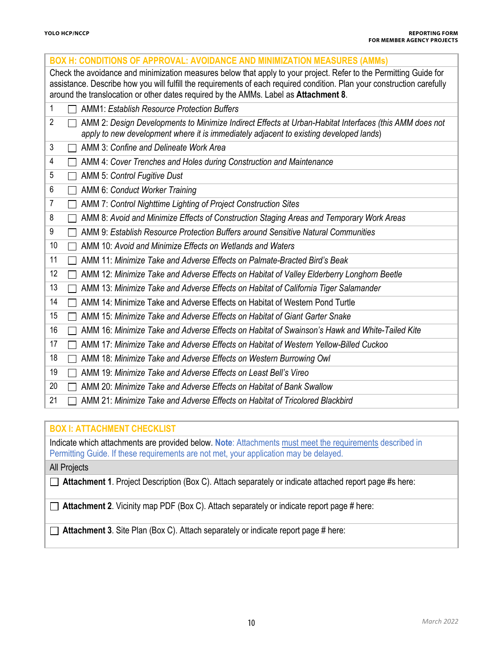| <b>BOX H: CONDITIONS OF APPROVAL: AVOIDANCE AND MINIMIZATION MEASURES (AMMs)</b>                                                                                                                                                                                                                                                     |
|--------------------------------------------------------------------------------------------------------------------------------------------------------------------------------------------------------------------------------------------------------------------------------------------------------------------------------------|
| Check the avoidance and minimization measures below that apply to your project. Refer to the Permitting Guide for<br>assistance. Describe how you will fulfill the requirements of each required condition. Plan your construction carefully<br>around the translocation or other dates required by the AMMs. Label as Attachment 8. |
| 1<br><b>AMM1: Establish Resource Protection Buffers</b>                                                                                                                                                                                                                                                                              |
| 2<br>AMM 2: Design Developments to Minimize Indirect Effects at Urban-Habitat Interfaces (this AMM does not<br>apply to new development where it is immediately adjacent to existing developed lands)                                                                                                                                |
| 3<br>AMM 3: Confine and Delineate Work Area                                                                                                                                                                                                                                                                                          |
| 4<br>AMM 4: Cover Trenches and Holes during Construction and Maintenance                                                                                                                                                                                                                                                             |
| 5<br>AMM 5: Control Fugitive Dust<br>$\mathbf{I}$                                                                                                                                                                                                                                                                                    |
| 6<br>AMM 6: Conduct Worker Training                                                                                                                                                                                                                                                                                                  |
| 7<br>AMM 7: Control Nighttime Lighting of Project Construction Sites                                                                                                                                                                                                                                                                 |
| 8<br>AMM 8: Avoid and Minimize Effects of Construction Staging Areas and Temporary Work Areas                                                                                                                                                                                                                                        |
| 9<br>AMM 9: Establish Resource Protection Buffers around Sensitive Natural Communities                                                                                                                                                                                                                                               |
| AMM 10: Avoid and Minimize Effects on Wetlands and Waters<br>10                                                                                                                                                                                                                                                                      |
| 11<br>AMM 11: Minimize Take and Adverse Effects on Palmate-Bracted Bird's Beak                                                                                                                                                                                                                                                       |
| 12<br>AMM 12: Minimize Take and Adverse Effects on Habitat of Valley Elderberry Longhorn Beetle                                                                                                                                                                                                                                      |
| 13<br>AMM 13: Minimize Take and Adverse Effects on Habitat of California Tiger Salamander                                                                                                                                                                                                                                            |
| 14<br>AMM 14: Minimize Take and Adverse Effects on Habitat of Western Pond Turtle                                                                                                                                                                                                                                                    |
| AMM 15: Minimize Take and Adverse Effects on Habitat of Giant Garter Snake<br>15                                                                                                                                                                                                                                                     |
| 16<br>AMM 16: Minimize Take and Adverse Effects on Habitat of Swainson's Hawk and White-Tailed Kite                                                                                                                                                                                                                                  |
| AMM 17: Minimize Take and Adverse Effects on Habitat of Western Yellow-Billed Cuckoo<br>17                                                                                                                                                                                                                                           |
| 18<br>AMM 18: Minimize Take and Adverse Effects on Western Burrowing Owl                                                                                                                                                                                                                                                             |
| 19<br>AMM 19: Minimize Take and Adverse Effects on Least Bell's Vireo                                                                                                                                                                                                                                                                |
| 20<br>AMM 20: Minimize Take and Adverse Effects on Habitat of Bank Swallow                                                                                                                                                                                                                                                           |
| 21<br>AMM 21: Minimize Take and Adverse Effects on Habitat of Tricolored Blackbird                                                                                                                                                                                                                                                   |
|                                                                                                                                                                                                                                                                                                                                      |
| <b>BAYLARDAAUSENRAUBAMIAR</b>                                                                                                                                                                                                                                                                                                        |

### **BOX I: ATTACHMENT CHECKLIST**

Indicate which attachments are provided below. **Note**: Attachments must meet the requirements described in Permitting Guide. If these requirements are not met, your application may be delayed.

All Projects

**Attachment 1**. Project Description (Box C). Attach separately or indicate attached report page #s here:

□ Attachment 2. Vicinity map PDF (Box C). Attach separately or indicate report page # here:

**Attachment 3**. Site Plan (Box C). Attach separately or indicate report page # here: